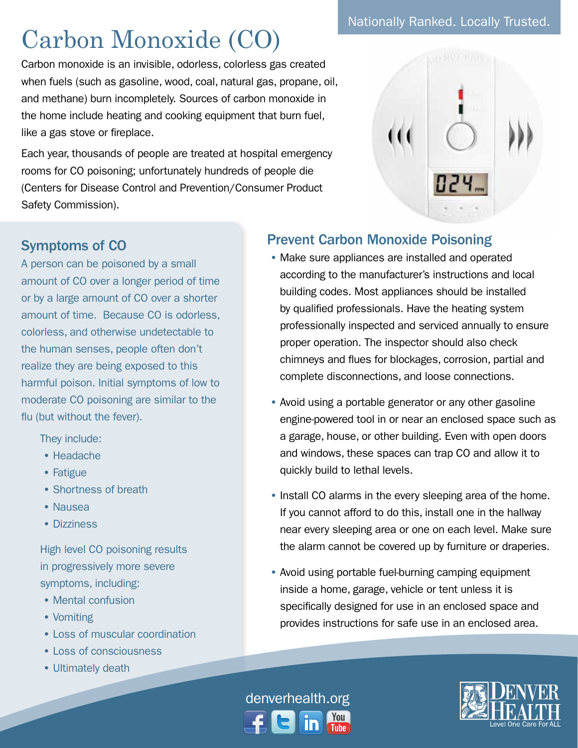## Carbon Monoxide (CO)

Carbon monoxide is an invisible, odorless, colorless gas created when fuels (such as gasoline, wood, coal, natural gas, propane, oil, and methane) burn incompletely. Sources of carbon monoxide in the home include heating and cooking equipment that burn fuel, like a gas stove or fireplace.

Each year, thousands of people are treated at hospital emergency rooms for CO poisoning; unfortunately hundreds of people die (Centers for Disease Control and Prevention/Consumer Product Safety Commission).





## Symptoms of CO

A person can be poisoned by a small amount of CO over a longer period of time or by a large amount of CO over a shorter amount of time. Because CO is odorless, colorless, and otherwise undetectable to the human senses, people often don't realize they are being exposed to this harmful poison. Initial symptoms of low to moderate CO poisoning are similar to the flu (but without the fever).

They include:

- Headache
- Fatigue
- Shortness of breath
- Nausea
- Dizziness

High level CO poisoning results in progressively more severe symptoms, including:

- Mental confusion
- Vomiting
- Loss of muscular coordination
- Loss of consciousness
- Ultimately death

## Prevent Carbon Monoxide Poisoning

- Make sure appliances are installed and operated according to the manufacturer's instructions and local building codes. Most appliances should be installed by qualified professionals. Have the heating system professionally inspected and serviced annually to ensure proper operation. The inspector should also check chimneys and flues for blockages, corrosion, partial and complete disconnections, and loose connections.
- Avoid using a portable generator or any other gasoline engine-powered tool in or near an enclosed space such as a garage, house, or other building. Even with open doors and windows, these spaces can trap CO and allow it to quickly build to lethal levels.
- Install CO alarms in the every sleeping area of the home. If you cannot afford to do this, install one in the hallway near every sleeping area or one on each level. Make sure the alarm cannot be covered up by furniture or draperies.
- Avoid using portable fuel-burning camping equipment inside a home, garage, vehicle or tent unless it is specifically designed for use in an enclosed space and provides instructions for safe use in an enclosed area.